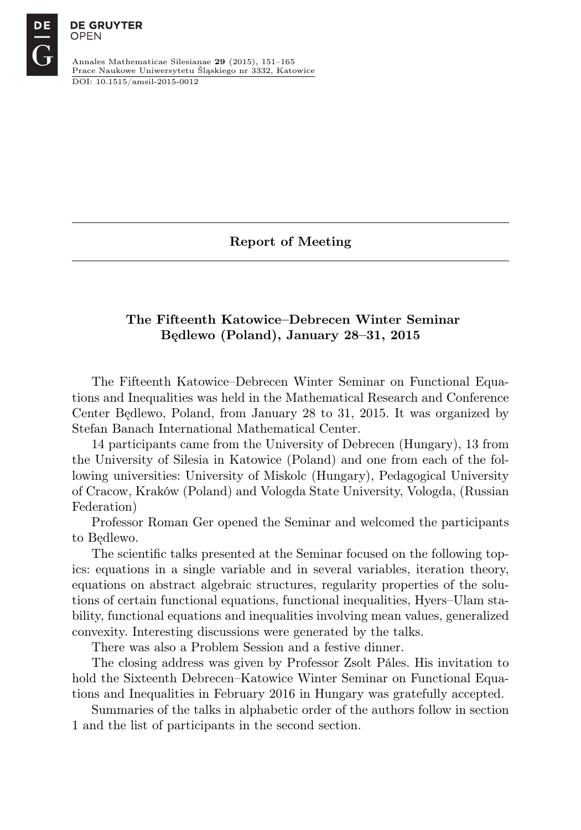DE

Annales Mathematicae Silesianae 29 (2015), 151–165 Prace Naukowe Uniwersytetu Śląskiego nr 3332, Katowice DOI: 10.1515/amsil-2015-0012

Report of Meeting

# The Fifteenth Katowice–Debrecen Winter Seminar Będlewo (Poland), January 28–31, 2015

The Fifteenth Katowice–Debrecen Winter Seminar on Functional Equations and Inequalities was held in the Mathematical Research and Conference Center Będlewo, Poland, from January 28 to 31, 2015. It was organized by Stefan Banach International Mathematical Center.

14 participants came from the University of Debrecen (Hungary), 13 from the University of Silesia in Katowice (Poland) and one from each of the following universities: University of Miskolc (Hungary), Pedagogical University of Cracow, Kraków (Poland) and Vologda State University, Vologda, (Russian Federation)

Professor Roman Ger opened the Seminar and welcomed the participants to Będlewo.

The scientific talks presented at the Seminar focused on the following topics: equations in a single variable and in several variables, iteration theory, equations on abstract algebraic structures, regularity properties of the solutions of certain functional equations, functional inequalities, Hyers–Ulam stability, functional equations and inequalities involving mean values, generalized convexity. Interesting discussions were generated by the talks.

There was also a Problem Session and a festive dinner.

The closing address was given by Professor Zsolt Páles. His invitation to hold the Sixteenth Debrecen–Katowice Winter Seminar on Functional Equations and Inequalities in February 2016 in Hungary was gratefully accepted.

Summaries of the talks in alphabetic order of the authors follow in section 1 and the list of participants in the second section.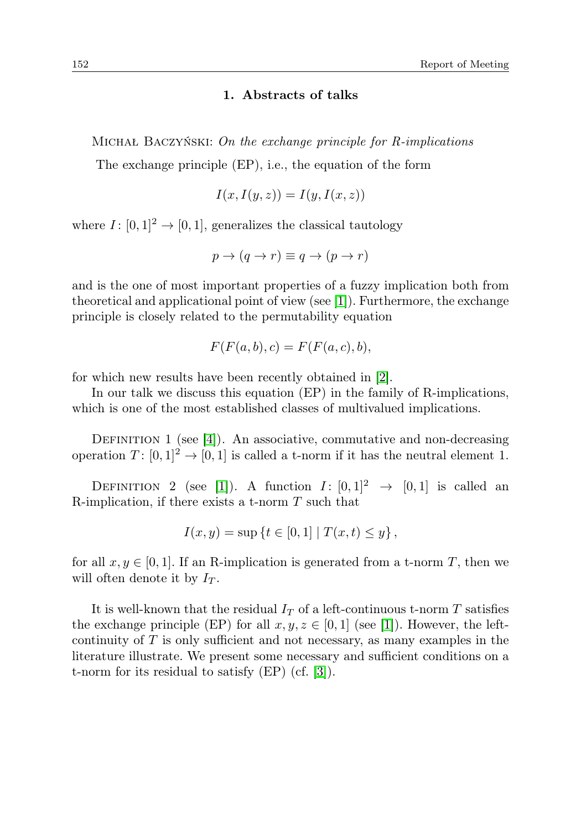## 1. Abstracts of talks

MICHAŁ BACZYŃSKI: On the exchange principle for R-implications

The exchange principle (EP), i.e., the equation of the form

$$
I(x, I(y, z)) = I(y, I(x, z))
$$

where  $I: [0, 1]^2 \to [0, 1]$ , generalizes the classical tautology

$$
p \to (q \to r) \equiv q \to (p \to r)
$$

and is the one of most important properties of a fuzzy implication both from theoretical and applicational point of view (see [\[1\]](#page-2-0)). Furthermore, the exchange principle is closely related to the permutability equation

$$
F(F(a,b),c) = F(F(a,c),b),
$$

for which new results have been recently obtained in [\[2\]](#page-2-1).

In our talk we discuss this equation (EP) in the family of R-implications, which is one of the most established classes of multivalued implications.

DEFINITION 1 (see [\[4\]](#page-2-2)). An associative, commutative and non-decreasing operation  $T: [0,1]^2 \to [0,1]$  is called a t-norm if it has the neutral element 1.

DEFINITION 2 (see [\[1\]](#page-2-0)). A function  $I: [0,1]^2 \rightarrow [0,1]$  is called an R-implication, if there exists a t-norm  $T$  such that

$$
I(x, y) = \sup \{ t \in [0, 1] \mid T(x, t) \le y \},
$$

for all  $x, y \in [0, 1]$ . If an R-implication is generated from a t-norm T, then we will often denote it by  $I_T$ .

It is well-known that the residual  $I_T$  of a left-continuous t-norm T satisfies the exchange principle (EP) for all  $x, y, z \in [0, 1]$  (see [\[1\]](#page-2-0)). However, the leftcontinuity of  $T$  is only sufficient and not necessary, as many examples in the literature illustrate. We present some necessary and sufficient conditions on a t-norm for its residual to satisfy (EP) (cf. [\[3\]](#page-2-3)).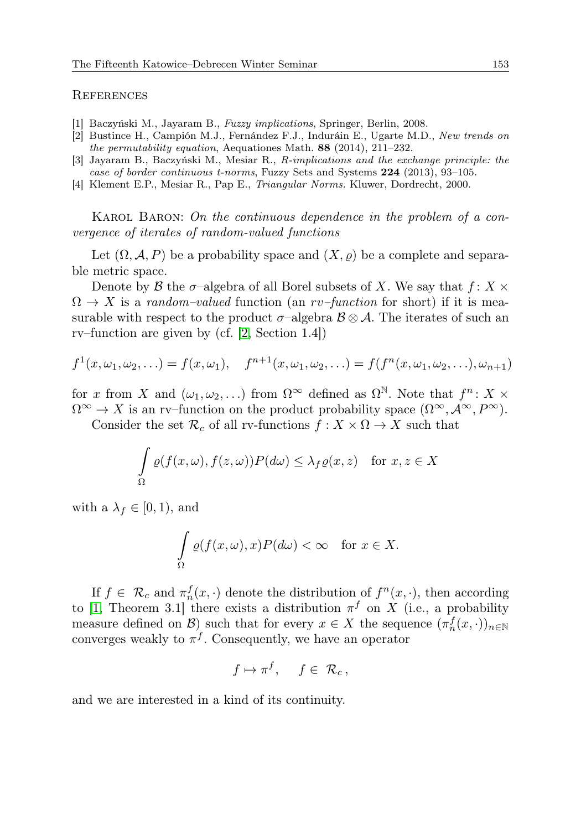#### **REFERENCES**

- <span id="page-2-0"></span>[1] Baczyński M., Jayaram B., Fuzzy implications, Springer, Berlin, 2008.
- <span id="page-2-1"></span>[2] Bustince H., Campión M.J., Fernández F.J., Induráin E., Ugarte M.D., New trends on the permutability equation, Aequationes Math. 88 (2014), 211–232.
- <span id="page-2-3"></span>[3] Jayaram B., Baczyński M., Mesiar R., R-implications and the exchange principle: the case of border continuous t-norms, Fuzzy Sets and Systems 224 (2013), 93–105.
- <span id="page-2-2"></span>[4] Klement E.P., Mesiar R., Pap E., Triangular Norms. Kluwer, Dordrecht, 2000.

KAROL BARON: On the continuous dependence in the problem of a convergence of iterates of random-valued functions

Let  $(\Omega, \mathcal{A}, P)$  be a probability space and  $(X, \rho)$  be a complete and separable metric space.

Denote by B the  $\sigma$ -algebra of all Borel subsets of X. We say that  $f: X \times$  $\Omega \to X$  is a random-valued function (an rv-function for short) if it is measurable with respect to the product  $\sigma$ -algebra  $\mathcal{B} \otimes \mathcal{A}$ . The iterates of such an rv–function are given by (cf. [\[2,](#page-3-0) Section 1.4])

$$
f^1(x, \omega_1, \omega_2, \ldots) = f(x, \omega_1), \quad f^{n+1}(x, \omega_1, \omega_2, \ldots) = f(f^n(x, \omega_1, \omega_2, \ldots), \omega_{n+1})
$$

for x from X and  $(\omega_1, \omega_2, ...)$  from  $\Omega^{\infty}$  defined as  $\Omega^{\mathbb{N}}$ . Note that  $f^n: X \times$  $\Omega^{\infty} \to X$  is an rv–function on the product probability space  $(\Omega^{\infty}, \mathcal{A}^{\infty}, P^{\infty})$ .

Consider the set  $\mathcal{R}_c$  of all rv-functions  $f: X \times \Omega \to X$  such that

$$
\int_{\Omega} \rho(f(x,\omega), f(z,\omega)) P(d\omega) \leq \lambda_f \rho(x,z) \quad \text{for } x, z \in X
$$

with a  $\lambda_f \in [0,1)$ , and

$$
\int_{\Omega} \varrho(f(x,\omega),x)P(d\omega) < \infty \quad \text{for } x \in X.
$$

If  $f \in \mathcal{R}_c$  and  $\pi_n^f(x, \cdot)$  denote the distribution of  $f^n(x, \cdot)$ , then according to [\[1,](#page-3-1) Theorem 3.1] there exists a distribution  $\pi^f$  on X (i.e., a probability measure defined on  $\mathcal{B}$ ) such that for every  $x \in X$  the sequence  $(\pi_n^f(x, \cdot))_{n \in \mathbb{N}}$ converges weakly to  $\pi^f$ . Consequently, we have an operator

$$
f \mapsto \pi^f, \quad f \in \mathcal{R}_c
$$

and we are interested in a kind of its continuity.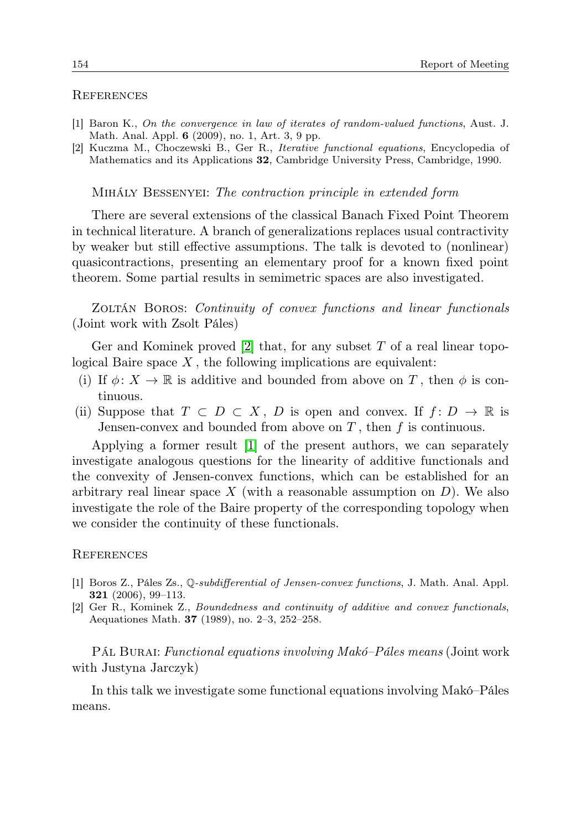### **REFERENCES**

- <span id="page-3-1"></span>[1] Baron K., On the convergence in law of iterates of random-valued functions, Aust. J. Math. Anal. Appl. 6 (2009), no. 1, Art. 3, 9 pp.
- <span id="page-3-0"></span>[2] Kuczma M., Choczewski B., Ger R., Iterative functional equations, Encyclopedia of Mathematics and its Applications 32, Cambridge University Press, Cambridge, 1990.

Mihály Bessenyei: The contraction principle in extended form

There are several extensions of the classical Banach Fixed Point Theorem in technical literature. A branch of generalizations replaces usual contractivity by weaker but still effective assumptions. The talk is devoted to (nonlinear) quasicontractions, presenting an elementary proof for a known fixed point theorem. Some partial results in semimetric spaces are also investigated.

ZOLTÁN BOROS: Continuity of convex functions and linear functionals (Joint work with Zsolt Páles)

Ger and Kominek proved  $[2]$  that, for any subset T of a real linear topological Baire space  $X$ , the following implications are equivalent:

- (i) If  $\phi: X \to \mathbb{R}$  is additive and bounded from above on T, then  $\phi$  is continuous.
- (ii) Suppose that  $T \subset D \subset X$ , D is open and convex. If  $f: D \to \mathbb{R}$  is Jensen-convex and bounded from above on  $T$ , then  $f$  is continuous.

Applying a former result [\[1\]](#page-3-3) of the present authors, we can separately investigate analogous questions for the linearity of additive functionals and the convexity of Jensen-convex functions, which can be established for an arbitrary real linear space  $X$  (with a reasonable assumption on  $D$ ). We also investigate the role of the Baire property of the corresponding topology when we consider the continuity of these functionals.

#### **REFERENCES**

- <span id="page-3-3"></span>[1] Boros Z., Páles Zs., Q-subdifferential of Jensen-convex functions, J. Math. Anal. Appl. 321 (2006), 99–113.
- <span id="page-3-2"></span>[2] Ger R., Kominek Z., Boundedness and continuity of additive and convex functionals, Aequationes Math. 37 (1989), no. 2–3, 252–258.

Pál Burai: Functional equations involving Makó–Páles means (Joint work with Justyna Jarczyk)

In this talk we investigate some functional equations involving Makó–Páles means.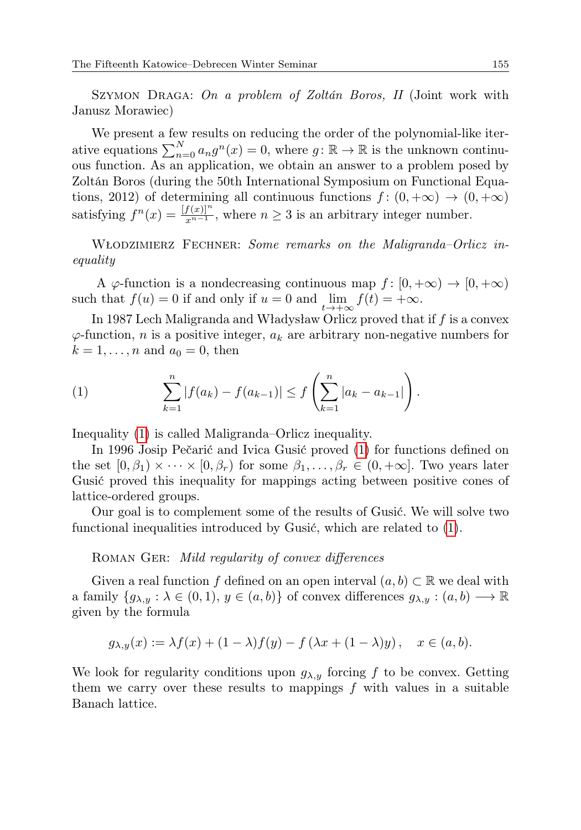SZYMON DRAGA: On a problem of Zoltán Boros, II (Joint work with Janusz Morawiec)

We present a few results on reducing the order of the polynomial-like iterative equations  $\sum_{n=0}^{N} a_n g^n(x) = 0$ , where  $g: \mathbb{R} \to \mathbb{R}$  is the unknown continuous function. As an application, we obtain an answer to a problem posed by Zoltán Boros (during the 50th International Symposium on Functional Equations, 2012) of determining all continuous functions  $f : (0, +\infty) \to (0, +\infty)$ satisfying  $f^{n}(x) = \frac{[f(x)]^{n}}{x^{n-1}}$ , where  $n \geq 3$  is an arbitrary integer number.

WŁODZIMIERZ FECHNER: Some remarks on the Maligranda–Orlicz inequality

A  $\varphi$ -function is a nondecreasing continuous map  $f : [0, +\infty) \to [0, +\infty)$ such that  $f(u) = 0$  if and only if  $u = 0$  and  $\lim_{t \to +\infty} f(t) = +\infty$ .

In 1987 Lech Maligranda and Władysław Orlicz proved that if  $f$  is a convex  $\varphi$ -function, *n* is a positive integer,  $a_k$  are arbitrary non-negative numbers for  $k = 1, \ldots, n$  and  $a_0 = 0$ , then

<span id="page-4-0"></span>(1) 
$$
\sum_{k=1}^{n} |f(a_k) - f(a_{k-1})| \le f\left(\sum_{k=1}^{n} |a_k - a_{k-1}|\right).
$$

Inequality [\(1\)](#page-4-0) is called Maligranda–Orlicz inequality.

In 1996 Josip Pečarić and Ivica Gusić proved [\(1\)](#page-4-0) for functions defined on the set  $[0, \beta_1) \times \cdots \times [0, \beta_r)$  for some  $\beta_1, \ldots, \beta_r \in (0, +\infty]$ . Two years later Gusić proved this inequality for mappings acting between positive cones of lattice-ordered groups.

Our goal is to complement some of the results of Gusić. We will solve two functional inequalities introduced by Gusić, which are related to [\(1\)](#page-4-0).

# ROMAN GER: Mild regularity of convex differences

Given a real function f defined on an open interval  $(a, b) \subset \mathbb{R}$  we deal with a family  $\{g_{\lambda,y} : \lambda \in (0,1), y \in (a,b)\}\$  of convex differences  $g_{\lambda,y} : (a,b) \longrightarrow \mathbb{R}$ given by the formula

$$
g_{\lambda,y}(x) := \lambda f(x) + (1 - \lambda)f(y) - f(\lambda x + (1 - \lambda)y), \quad x \in (a, b).
$$

We look for regularity conditions upon  $g_{\lambda,y}$  forcing f to be convex. Getting them we carry over these results to mappings  $f$  with values in a suitable Banach lattice.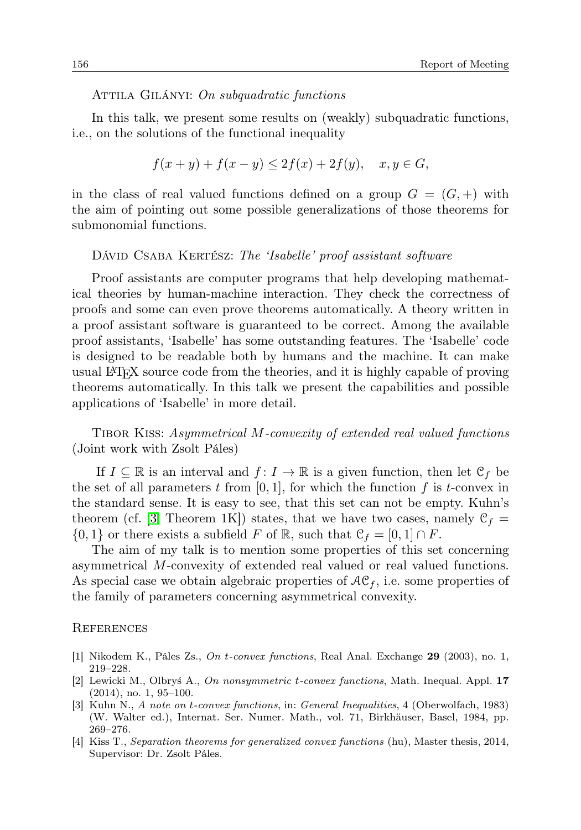### ATTILA GILÁNYI: On subquadratic functions

In this talk, we present some results on (weakly) subquadratic functions, i.e., on the solutions of the functional inequality

$$
f(x + y) + f(x - y) \le 2f(x) + 2f(y), \quad x, y \in G,
$$

in the class of real valued functions defined on a group  $G = (G, +)$  with the aim of pointing out some possible generalizations of those theorems for submonomial functions.

## DÁVID CSABA KERTÉSZ: The 'Isabelle' proof assistant software

Proof assistants are computer programs that help developing mathematical theories by human-machine interaction. They check the correctness of proofs and some can even prove theorems automatically. A theory written in a proof assistant software is guaranteed to be correct. Among the available proof assistants, 'Isabelle' has some outstanding features. The 'Isabelle' code is designed to be readable both by humans and the machine. It can make usual LATEX source code from the theories, and it is highly capable of proving theorems automatically. In this talk we present the capabilities and possible applications of 'Isabelle' in more detail.

Tibor Kiss: Asymmetrical M-convexity of extended real valued functions (Joint work with Zsolt Páles)

If  $I \subseteq \mathbb{R}$  is an interval and  $f: I \to \mathbb{R}$  is a given function, then let  $\mathcal{C}_f$  be the set of all parameters t from  $[0, 1]$ , for which the function f is t-convex in the standard sense. It is easy to see, that this set can not be empty. Kuhn's theorem (cf. [\[3,](#page-5-0) Theorem 1K]) states, that we have two cases, namely  $C_f =$  $\{0,1\}$  or there exists a subfield F of R, such that  $\mathcal{C}_f = [0,1] \cap F$ .

The aim of my talk is to mention some properties of this set concerning asymmetrical M-convexity of extended real valued or real valued functions. As special case we obtain algebraic properties of  $AC_f$ , i.e. some properties of the family of parameters concerning asymmetrical convexity.

#### **REFERENCES**

- [1] Nikodem K., Páles Zs., On t-convex functions, Real Anal. Exchange 29 (2003), no. 1, 219–228.
- [2] Lewicki M., Olbryś A., On nonsymmetric t-convex functions, Math. Inequal. Appl. 17 (2014), no. 1, 95–100.
- <span id="page-5-0"></span>[3] Kuhn N., A note on t-convex functions, in: General Inequalities, 4 (Oberwolfach, 1983) (W. Walter ed.), Internat. Ser. Numer. Math., vol. 71, Birkhäuser, Basel, 1984, pp. 269–276.
- [4] Kiss T., Separation theorems for generalized convex functions (hu), Master thesis, 2014, Supervisor: Dr. Zsolt Páles.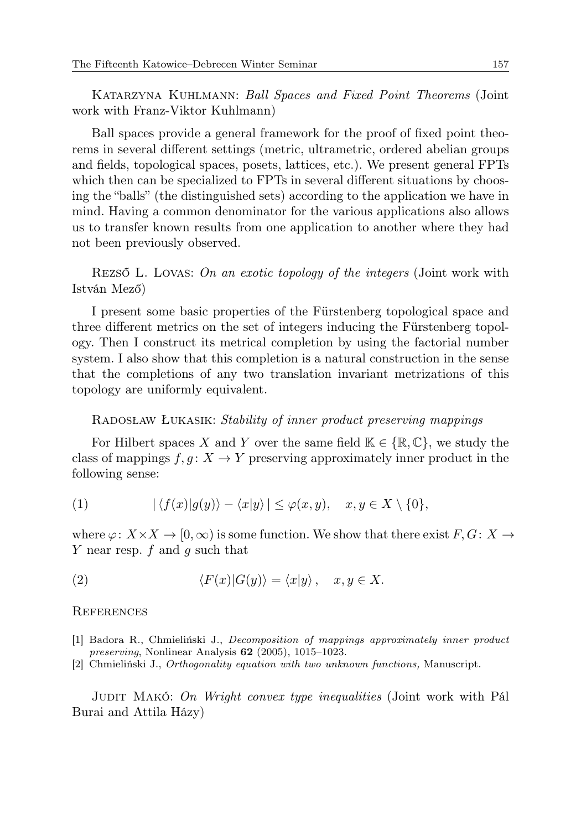Katarzyna Kuhlmann: Ball Spaces and Fixed Point Theorems (Joint work with Franz-Viktor Kuhlmann)

Ball spaces provide a general framework for the proof of fixed point theorems in several different settings (metric, ultrametric, ordered abelian groups and fields, topological spaces, posets, lattices, etc.). We present general FPTs which then can be specialized to FPTs in several different situations by choosing the "balls" (the distinguished sets) according to the application we have in mind. Having a common denominator for the various applications also allows us to transfer known results from one application to another where they had not been previously observed.

Rezső L. Lovas: On an exotic topology of the integers (Joint work with István Mező)

I present some basic properties of the Fürstenberg topological space and three different metrics on the set of integers inducing the Fürstenberg topology. Then I construct its metrical completion by using the factorial number system. I also show that this completion is a natural construction in the sense that the completions of any two translation invariant metrizations of this topology are uniformly equivalent.

# Radosław Łukasik: Stability of inner product preserving mappings

For Hilbert spaces X and Y over the same field  $\mathbb{K} \in \{ \mathbb{R}, \mathbb{C} \}$ , we study the class of mappings  $f, g: X \to Y$  preserving approximately inner product in the following sense:

(1) 
$$
|\langle f(x)|g(y)\rangle - \langle x|y\rangle| \leq \varphi(x,y), \quad x, y \in X \setminus \{0\},
$$

where  $\varphi: X \times X \to [0, \infty)$  is some function. We show that there exist  $F, G: X \to$ Y near resp.  $f$  and  $g$  such that

(2) 
$$
\langle F(x)|G(y)\rangle = \langle x|y\rangle, \quad x, y \in X.
$$

#### **REFERENCES**

- [1] Badora R., Chmieliński J., Decomposition of mappings approximately inner product preserving, Nonlinear Analysis 62 (2005), 1015–1023.
- [2] Chmieliński J., Orthogonality equation with two unknown functions, Manuscript.

JUDIT MAKÓ: On Wright convex type inequalities (Joint work with Pál Burai and Attila Házy)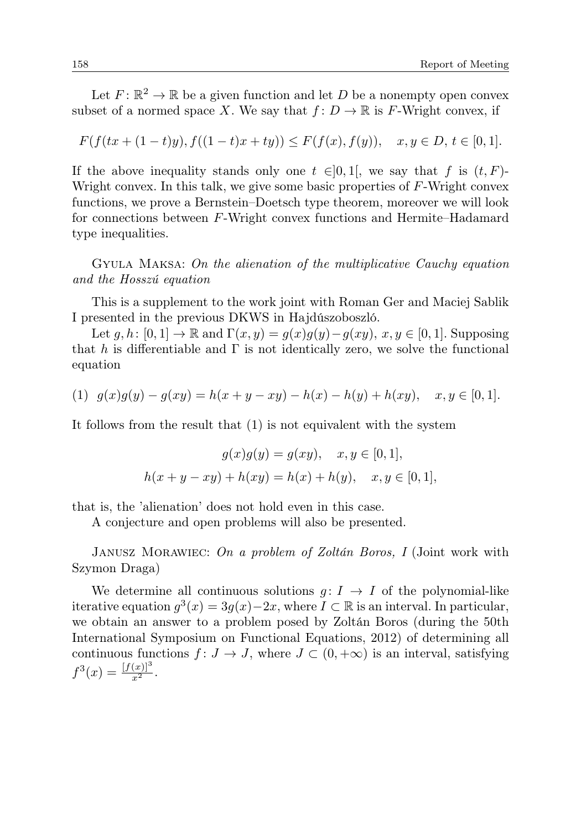Let  $F: \mathbb{R}^2 \to \mathbb{R}$  be a given function and let D be a nonempty open convex subset of a normed space X. We say that  $f: D \to \mathbb{R}$  is F-Wright convex, if

$$
F(f(tx+(1-t)y), f((1-t)x+ty)) \le F(f(x), f(y)), \quad x, y \in D, t \in [0,1].
$$

If the above inequality stands only one  $t \in ]0,1[$ , we say that f is  $(t, F)$ -Wright convex. In this talk, we give some basic properties of  $F$ -Wright convex functions, we prove a Bernstein–Doetsch type theorem, moreover we will look for connections between F-Wright convex functions and Hermite–Hadamard type inequalities.

Gyula Maksa: On the alienation of the multiplicative Cauchy equation and the Hosszú equation

This is a supplement to the work joint with Roman Ger and Maciej Sablik I presented in the previous DKWS in Hajdúszoboszló.

Let  $g, h: [0, 1] \to \mathbb{R}$  and  $\Gamma(x, y) = g(x)g(y) - g(xy), x, y \in [0, 1]$ . Supposing that h is differentiable and  $\Gamma$  is not identically zero, we solve the functional equation

$$
(1) \ \ g(x)g(y) - g(xy) = h(x + y - xy) - h(x) - h(y) + h(xy), \quad x, y \in [0, 1].
$$

It follows from the result that (1) is not equivalent with the system

$$
g(x)g(y) = g(xy), \quad x, y \in [0, 1],
$$
  

$$
h(x + y - xy) + h(xy) = h(x) + h(y), \quad x, y \in [0, 1],
$$

that is, the 'alienation' does not hold even in this case.

A conjecture and open problems will also be presented.

JANUSZ MORAWIEC: On a problem of Zoltán Boros, I (Joint work with Szymon Draga)

We determine all continuous solutions  $g: I \rightarrow I$  of the polynomial-like iterative equation  $g^3(x) = 3g(x) - 2x$ , where  $I \subset \mathbb{R}$  is an interval. In particular, we obtain an answer to a problem posed by Zoltán Boros (during the 50th International Symposium on Functional Equations, 2012) of determining all continuous functions  $f: J \to J$ , where  $J \subset (0, +\infty)$  is an interval, satisfying  $f^{3}(x) = \frac{[f(x)]^{3}}{x^{2}}.$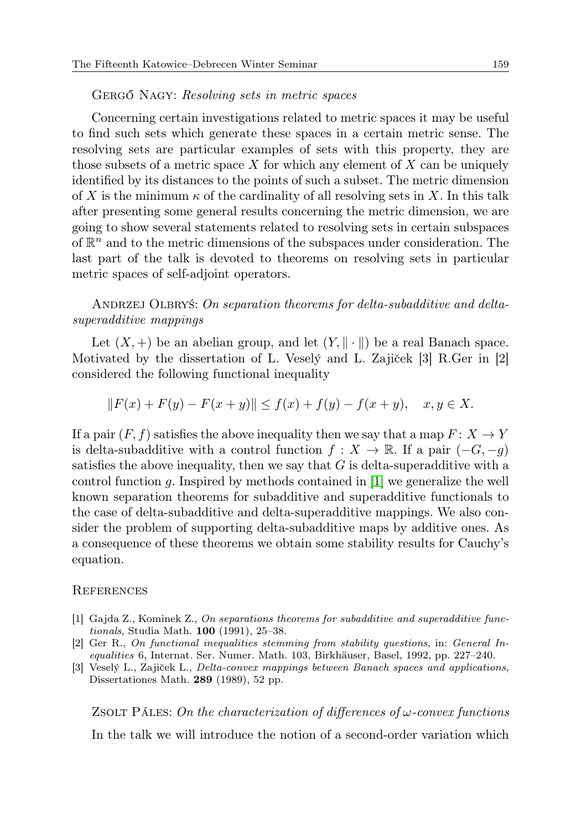### GERGŐ NAGY: Resolving sets in metric spaces

Concerning certain investigations related to metric spaces it may be useful to find such sets which generate these spaces in a certain metric sense. The resolving sets are particular examples of sets with this property, they are those subsets of a metric space X for which any element of X can be uniquely identified by its distances to the points of such a subset. The metric dimension of X is the minimum  $\kappa$  of the cardinality of all resolving sets in X. In this talk after presenting some general results concerning the metric dimension, we are going to show several statements related to resolving sets in certain subspaces of  $\mathbb{R}^n$  and to the metric dimensions of the subspaces under consideration. The last part of the talk is devoted to theorems on resolving sets in particular metric spaces of self-adjoint operators.

ANDRZEJ OLBRYŚ: On separation theorems for delta-subadditive and deltasuperadditive mappings

Let  $(X, +)$  be an abelian group, and let  $(Y, \|\cdot\|)$  be a real Banach space. Motivated by the dissertation of L. Vesely and L. Zajiček  $[3]$  R.Ger in  $[2]$ considered the following functional inequality

 $||F(x) + F(y) - F(x + y)|| \le f(x) + f(y) - f(x + y), \quad x, y \in X.$ 

If a pair  $(F, f)$  satisfies the above inequality then we say that a map  $F: X \to Y$ is delta-subadditive with a control function  $f : X \to \mathbb{R}$ . If a pair  $(-G, -g)$ satisfies the above inequality, then we say that  $G$  is delta-superadditive with a control function g. Inspired by methods contained in [\[1\]](#page-8-0) we generalize the well known separation theorems for subadditive and superadditive functionals to the case of delta-subadditive and delta-superadditive mappings. We also consider the problem of supporting delta-subadditive maps by additive ones. As a consequence of these theorems we obtain some stability results for Cauchy's equation.

## **REFERENCES**

- <span id="page-8-0"></span>[1] Gajda Z., Kominek Z., On separations theorems for subadditive and superadditive functionals, Studia Math. 100 (1991), 25–38.
- [2] Ger R., On functional inequalities stemming from stability questions, in: General Inequalities 6, Internat. Ser. Numer. Math. 103, Birkhäuser, Basel, 1992, pp. 227–240.
- [3] Veselý L., Zajiček L., Delta-convex mappings between Banach spaces and applications, Dissertationes Math. 289 (1989), 52 pp.

ZSOLT PÁLES: On the characterization of differences of  $\omega$ -convex functions In the talk we will introduce the notion of a second-order variation which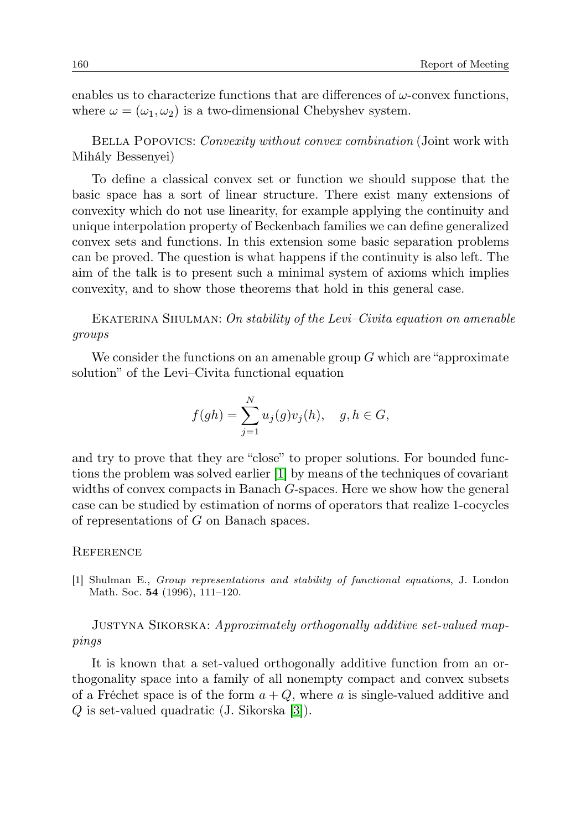enables us to characterize functions that are differences of  $\omega$ -convex functions, where  $\omega = (\omega_1, \omega_2)$  is a two-dimensional Chebyshev system.

BELLA POPOVICS: Convexity without convex combination (Joint work with Mihály Bessenyei)

To define a classical convex set or function we should suppose that the basic space has a sort of linear structure. There exist many extensions of convexity which do not use linearity, for example applying the continuity and unique interpolation property of Beckenbach families we can define generalized convex sets and functions. In this extension some basic separation problems can be proved. The question is what happens if the continuity is also left. The aim of the talk is to present such a minimal system of axioms which implies convexity, and to show those theorems that hold in this general case.

EKATERINA SHULMAN: On stability of the Levi–Civita equation on amenable groups

We consider the functions on an amenable group  $G$  which are "approximate" solution" of the Levi–Civita functional equation

$$
f(gh) = \sum_{j=1}^{N} u_j(g)v_j(h), \quad g, h \in G,
$$

and try to prove that they are "close" to proper solutions. For bounded functions the problem was solved earlier [\[1\]](#page-9-0) by means of the techniques of covariant widths of convex compacts in Banach G-spaces. Here we show how the general case can be studied by estimation of norms of operators that realize 1-cocycles of representations of G on Banach spaces.

# **REFERENCE**

<span id="page-9-0"></span>[1] Shulman E., Group representations and stability of functional equations, J. London Math. Soc. 54 (1996), 111–120.

# JUSTYNA SIKORSKA: Approximately orthogonally additive set-valued mappings

It is known that a set-valued orthogonally additive function from an orthogonality space into a family of all nonempty compact and convex subsets of a Fréchet space is of the form  $a + Q$ , where a is single-valued additive and Q is set-valued quadratic (J. Sikorska [\[3\]](#page-10-0)).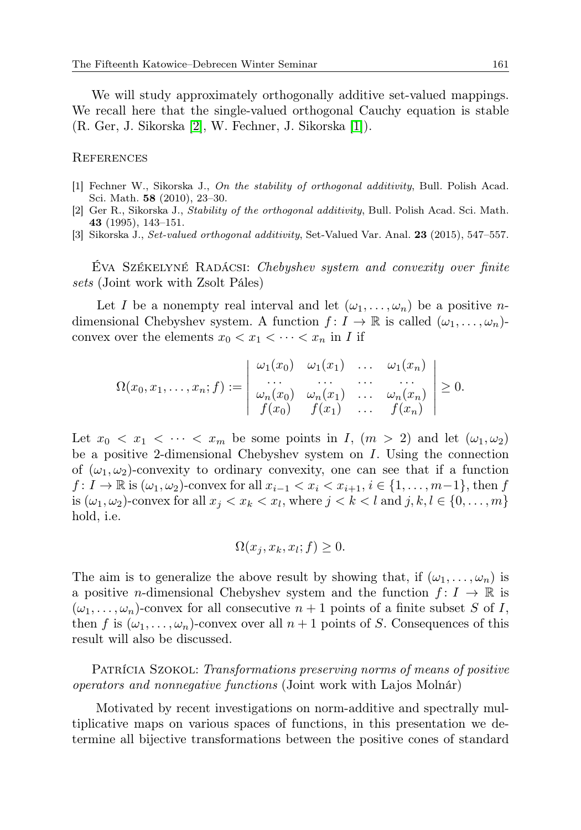We will study approximately orthogonally additive set-valued mappings. We recall here that the single-valued orthogonal Cauchy equation is stable (R. Ger, J. Sikorska [\[2\]](#page-10-1), W. Fechner, J. Sikorska [\[1\]](#page-10-2)).

### **REFERENCES**

- <span id="page-10-2"></span>[1] Fechner W., Sikorska J., On the stability of orthogonal additivity, Bull. Polish Acad. Sci. Math. 58 (2010), 23–30.
- <span id="page-10-1"></span>[2] Ger R., Sikorska J., Stability of the orthogonal additivity, Bull. Polish Acad. Sci. Math. 43 (1995), 143–151.
- <span id="page-10-0"></span>[3] Sikorska J., Set-valued orthogonal additivity, Set-Valued Var. Anal. 23 (2015), 547–557.

Éva Székelyné Radácsi: Chebyshev system and convexity over finite sets (Joint work with Zsolt Páles)

Let I be a nonempty real interval and let  $(\omega_1, \ldots, \omega_n)$  be a positive ndimensional Chebyshev system. A function  $f: I \to \mathbb{R}$  is called  $(\omega_1, \ldots, \omega_n)$ convex over the elements  $x_0 < x_1 < \cdots < x_n$  in I if

$$
\Omega(x_0,x_1,\ldots,x_n;f):=\left|\begin{array}{cccc}\omega_1(x_0)&\omega_1(x_1)&\ldots&\omega_1(x_n)\\ \ldots&\ldots&\ldots&\ldots\\ \omega_n(x_0)&\omega_n(x_1)&\ldots&\omega_n(x_n)\\ f(x_0)&f(x_1)&\ldots&f(x_n)\end{array}\right|\geq 0.
$$

Let  $x_0 < x_1 < \cdots < x_m$  be some points in I,  $(m > 2)$  and let  $(\omega_1, \omega_2)$ be a positive 2-dimensional Chebyshev system on  $I$ . Using the connection of  $(\omega_1, \omega_2)$ -convexity to ordinary convexity, one can see that if a function  $f: I \to \mathbb{R}$  is  $(\omega_1, \omega_2)$ -convex for all  $x_{i-1} < x_i < x_{i+1}$ ,  $i \in \{1, \ldots, m-1\}$ , then f is  $(\omega_1, \omega_2)$ -convex for all  $x_j < x_k < x_l$ , where  $j < k < l$  and  $j, k, l \in \{0, \ldots, m\}$ hold, i.e.

$$
\Omega(x_j, x_k, x_l; f) \ge 0.
$$

The aim is to generalize the above result by showing that, if  $(\omega_1, \ldots, \omega_n)$  is a positive *n*-dimensional Chebyshev system and the function  $f: I \to \mathbb{R}$  is  $(\omega_1, \ldots, \omega_n)$ -convex for all consecutive  $n+1$  points of a finite subset S of I, then f is  $(\omega_1, \ldots, \omega_n)$ -convex over all  $n + 1$  points of S. Consequences of this result will also be discussed.

PATRÍCIA SZOKOL: Transformations preserving norms of means of positive operators and nonnegative functions (Joint work with Lajos Molnár)

Motivated by recent investigations on norm-additive and spectrally multiplicative maps on various spaces of functions, in this presentation we determine all bijective transformations between the positive cones of standard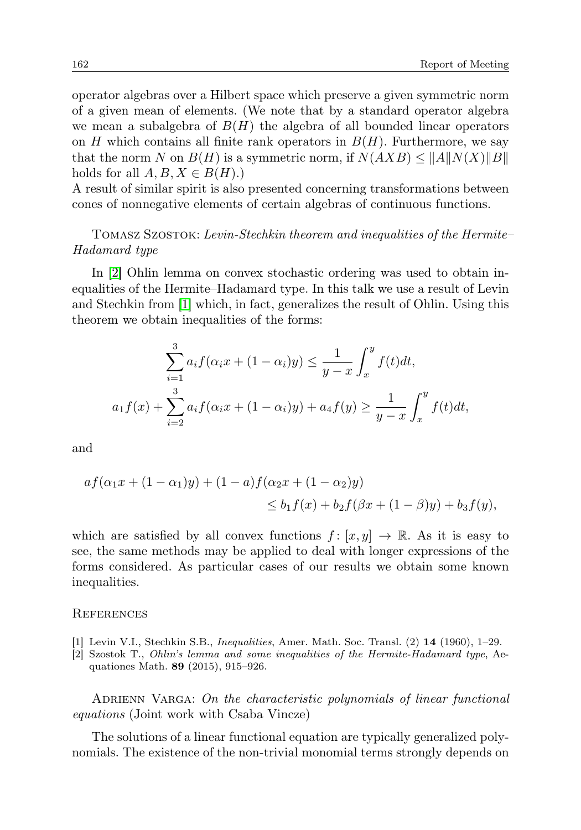operator algebras over a Hilbert space which preserve a given symmetric norm of a given mean of elements. (We note that by a standard operator algebra we mean a subalgebra of  $B(H)$  the algebra of all bounded linear operators on  $H$  which contains all finite rank operators in  $B(H)$ . Furthermore, we say that the norm N on  $B(H)$  is a symmetric norm, if  $N(AXB) \leq ||A||N(X)||B||$ holds for all  $A, B, X \in B(H)$ .)

A result of similar spirit is also presented concerning transformations between cones of nonnegative elements of certain algebras of continuous functions.

# Tomasz Szostok: Levin-Stechkin theorem and inequalities of the Hermite– Hadamard type

In [\[2\]](#page-11-0) Ohlin lemma on convex stochastic ordering was used to obtain inequalities of the Hermite–Hadamard type. In this talk we use a result of Levin and Stechkin from [\[1\]](#page-11-1) which, in fact, generalizes the result of Ohlin. Using this theorem we obtain inequalities of the forms:

$$
\sum_{i=1}^{3} a_i f(\alpha_i x + (1 - \alpha_i)y) \le \frac{1}{y - x} \int_x^y f(t) dt,
$$
  

$$
a_1 f(x) + \sum_{i=2}^{3} a_i f(\alpha_i x + (1 - \alpha_i)y) + a_4 f(y) \ge \frac{1}{y - x} \int_x^y f(t) dt,
$$

and

$$
af(\alpha_1 x + (1 - \alpha_1)y) + (1 - a)f(\alpha_2 x + (1 - \alpha_2)y)
$$
  
\n
$$
\leq b_1 f(x) + b_2 f(\beta x + (1 - \beta)y) + b_3 f(y),
$$

which are satisfied by all convex functions  $f : [x, y] \to \mathbb{R}$ . As it is easy to see, the same methods may be applied to deal with longer expressions of the forms considered. As particular cases of our results we obtain some known inequalities.

#### **REFERENCES**

- <span id="page-11-1"></span>[1] Levin V.I., Stechkin S.B., Inequalities, Amer. Math. Soc. Transl. (2) 14 (1960), 1–29.
- <span id="page-11-0"></span>[2] Szostok T., Ohlin's lemma and some inequalities of the Hermite-Hadamard type, Aequationes Math. 89 (2015), 915–926.

ADRIENN VARGA: On the characteristic polynomials of linear functional equations (Joint work with Csaba Vincze)

The solutions of a linear functional equation are typically generalized polynomials. The existence of the non-trivial monomial terms strongly depends on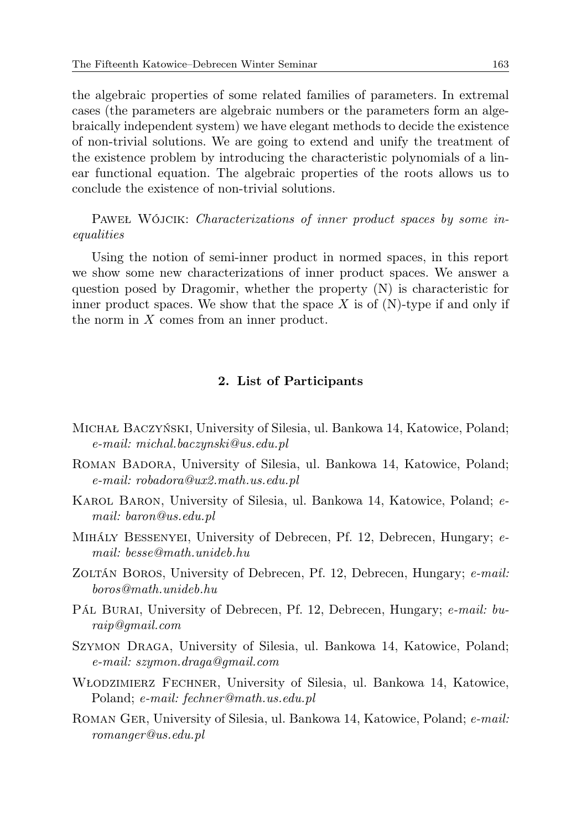the algebraic properties of some related families of parameters. In extremal cases (the parameters are algebraic numbers or the parameters form an algebraically independent system) we have elegant methods to decide the existence of non-trivial solutions. We are going to extend and unify the treatment of the existence problem by introducing the characteristic polynomials of a linear functional equation. The algebraic properties of the roots allows us to conclude the existence of non-trivial solutions.

PAWEŁ WÓJCIK: Characterizations of inner product spaces by some inequalities

Using the notion of semi-inner product in normed spaces, in this report we show some new characterizations of inner product spaces. We answer a question posed by Dragomir, whether the property  $(N)$  is characteristic for inner product spaces. We show that the space  $X$  is of  $(N)$ -type if and only if the norm in X comes from an inner product.

## 2. List of Participants

- Michał Baczyński, University of Silesia, ul. Bankowa 14, Katowice, Poland; e-mail: michal.baczynski@us.edu.pl
- ROMAN BADORA, University of Silesia, ul. Bankowa 14, Katowice, Poland; e-mail: robadora@ux2.math.us.edu.pl
- Karol Baron, University of Silesia, ul. Bankowa 14, Katowice, Poland; email: baron@us.edu.pl
- Mihály Bessenyei, University of Debrecen, Pf. 12, Debrecen, Hungary; email: besse@math.unideb.hu
- ZOLTÁN BOROS, University of Debrecen, Pf. 12, Debrecen, Hungary; e-mail: boros@math.unideb.hu
- Pál Burai, University of Debrecen, Pf. 12, Debrecen, Hungary; e-mail: buraip@gmail.com
- Szymon Draga, University of Silesia, ul. Bankowa 14, Katowice, Poland; e-mail: szymon.draga@gmail.com
- Włodzimierz Fechner, University of Silesia, ul. Bankowa 14, Katowice, Poland; e-mail: fechner@math.us.edu.pl
- Roman Ger, University of Silesia, ul. Bankowa 14, Katowice, Poland; e-mail: romanger@us.edu.pl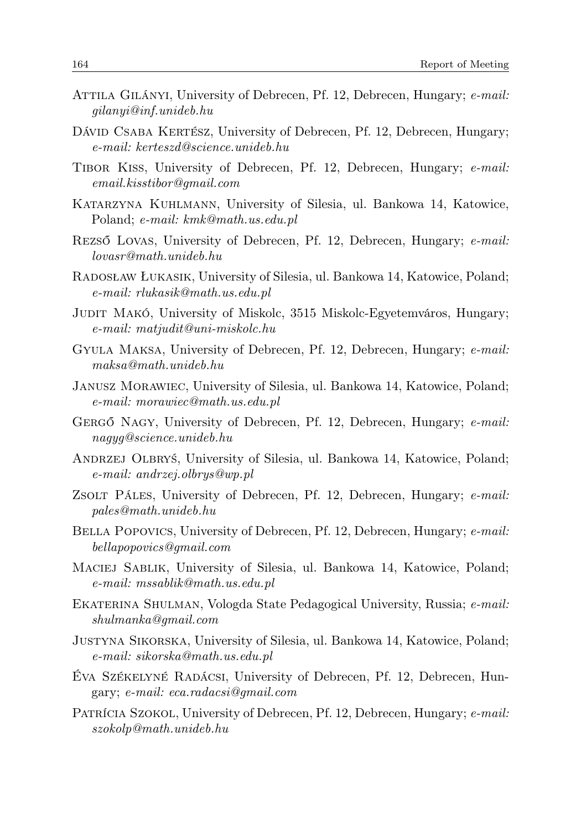- Attila Gilányi, University of Debrecen, Pf. 12, Debrecen, Hungary; e-mail: gilanyi@inf.unideb.hu
- Dávid Csaba Kertész, University of Debrecen, Pf. 12, Debrecen, Hungary; e-mail: kerteszd@science.unideb.hu
- Tibor Kiss, University of Debrecen, Pf. 12, Debrecen, Hungary; e-mail: email.kisstibor@gmail.com
- Katarzyna Kuhlmann, University of Silesia, ul. Bankowa 14, Katowice, Poland; e-mail: kmk@math.us.edu.pl
- Rezső Lovas, University of Debrecen, Pf. 12, Debrecen, Hungary; e-mail: lovasr@math.unideb.hu
- Radosław Łukasik, University of Silesia, ul. Bankowa 14, Katowice, Poland; e-mail: rlukasik@math.us.edu.pl
- Judit Makó, University of Miskolc, 3515 Miskolc-Egyetemváros, Hungary; e-mail: matjudit@uni-miskolc.hu
- Gyula Maksa, University of Debrecen, Pf. 12, Debrecen, Hungary; e-mail: maksa@math.unideb.hu
- Janusz Morawiec, University of Silesia, ul. Bankowa 14, Katowice, Poland; e-mail: morawiec@math.us.edu.pl
- Gergő Nagy, University of Debrecen, Pf. 12, Debrecen, Hungary; e-mail: nagyg@science.unideb.hu
- Andrzej Olbryś, University of Silesia, ul. Bankowa 14, Katowice, Poland; e-mail: andrzej.olbrys@wp.pl
- Zsolt Páles, University of Debrecen, Pf. 12, Debrecen, Hungary; e-mail: pales@math.unideb.hu
- BELLA POPOVICS, University of Debrecen, Pf. 12, Debrecen, Hungary; e-mail: bellapopovics@gmail.com
- Maciej Sablik, University of Silesia, ul. Bankowa 14, Katowice, Poland; e-mail: mssablik@math.us.edu.pl
- Ekaterina Shulman, Vologda State Pedagogical University, Russia; e-mail: shulmanka@gmail.com
- Justyna Sikorska, University of Silesia, ul. Bankowa 14, Katowice, Poland; e-mail: sikorska@math.us.edu.pl
- Éva Székelyné Radácsi, University of Debrecen, Pf. 12, Debrecen, Hungary; e-mail: eca.radacsi@gmail.com
- PATRÍCIA SZOKOL, University of Debrecen, Pf. 12, Debrecen, Hungary; e-mail: szokolp@math.unideb.hu